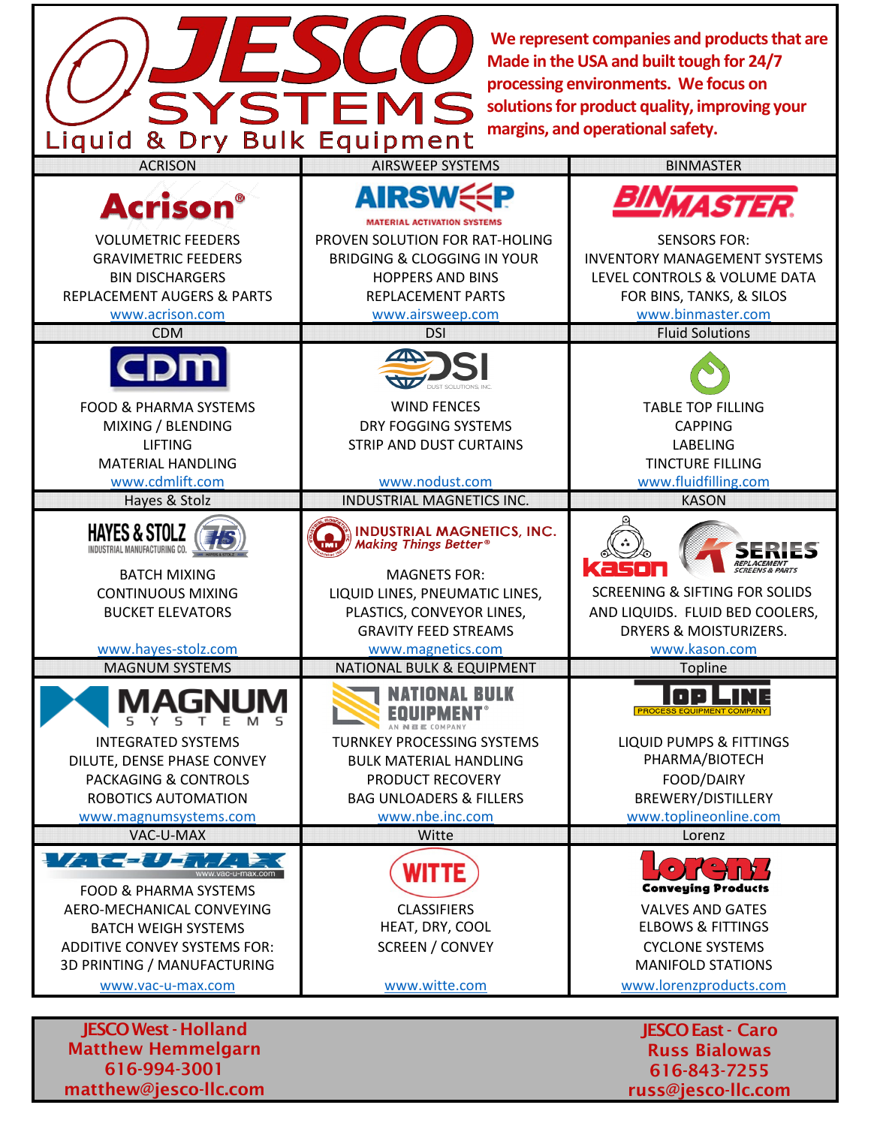**We represent companies and products that are Made in the USA and built tough for 24/7 processing environments. We focus on solutions for product quality, improving your margins, and operational safety.**

> 616-843-7255 russ@jesco-llc.com

| margins, and operational safety.<br>Liquid & Dry Bulk Equipment                                                                                                                                      |                                                                                                                                                                                                      |                                                                                                                                                                      |
|------------------------------------------------------------------------------------------------------------------------------------------------------------------------------------------------------|------------------------------------------------------------------------------------------------------------------------------------------------------------------------------------------------------|----------------------------------------------------------------------------------------------------------------------------------------------------------------------|
| <b>ACRISON</b>                                                                                                                                                                                       | <b>AIRSWEEP SYSTEMS</b>                                                                                                                                                                              | <b>BINMASTER</b>                                                                                                                                                     |
| <b>Acrison</b>                                                                                                                                                                                       | <b>AIRSWS</b><br><b>MATERIAL ACTIVATION SYSTEMS</b>                                                                                                                                                  | <i><b>IASTER.</b></i>                                                                                                                                                |
| <b>VOLUMETRIC FEEDERS</b><br><b>GRAVIMETRIC FEEDERS</b><br><b>BIN DISCHARGERS</b><br><b>REPLACEMENT AUGERS &amp; PARTS</b><br>www.acrison.com                                                        | PROVEN SOLUTION FOR RAT-HOLING<br><b>BRIDGING &amp; CLOGGING IN YOUR</b><br><b>HOPPERS AND BINS</b><br>REPLACEMENT PARTS<br>www.airsweep.com                                                         | <b>SENSORS FOR:</b><br><b>INVENTORY MANAGEMENT SYSTEMS</b><br>LEVEL CONTROLS & VOLUME DATA<br>FOR BINS, TANKS, & SILOS<br>www.binmaster.com                          |
| <b>CDM</b>                                                                                                                                                                                           | <b>DSI</b>                                                                                                                                                                                           | <b>Fluid Solutions</b>                                                                                                                                               |
|                                                                                                                                                                                                      |                                                                                                                                                                                                      |                                                                                                                                                                      |
| <b>FOOD &amp; PHARMA SYSTEMS</b><br>MIXING / BLENDING<br><b>LIFTING</b><br><b>MATERIAL HANDLING</b><br>www.cdmlift.com                                                                               | <b>WIND FENCES</b><br>DRY FOGGING SYSTEMS<br>STRIP AND DUST CURTAINS<br>www.nodust.com                                                                                                               | <b>TABLE TOP FILLING</b><br><b>CAPPING</b><br><b>LABELING</b><br><b>TINCTURE FILLING</b><br>www.fluidfilling.com                                                     |
| Hayes & Stolz                                                                                                                                                                                        | <b>INDUSTRIAL MAGNETICS INC.</b>                                                                                                                                                                     | <b>KASON</b>                                                                                                                                                         |
| <b>HAYES &amp; STOLZ</b><br>INDUSTRIAL MANUFACTURING CO.<br><b>BATCH MIXING</b><br><b>CONTINUOUS MIXING</b><br><b>BUCKET ELEVATORS</b><br>www.hayes-stolz.com                                        | <b>INDUSTRIAL MAGNETICS, INC.</b><br>Making Things Better®<br><b>MAGNETS FOR:</b><br>LIQUID LINES, PNEUMATIC LINES,<br>PLASTICS, CONVEYOR LINES,<br><b>GRAVITY FEED STREAMS</b><br>www.magnetics.com | KEI<br>st n<br><b>SCREENING &amp; SIFTING FOR SOLIDS</b><br>AND LIQUIDS. FLUID BED COOLERS,<br>DRYERS & MOISTURIZERS.<br>www.kason.com                               |
| <b>MAGNUM SYSTEMS</b>                                                                                                                                                                                | <b>NATIONAL BULK &amp; EQUIPMENT</b>                                                                                                                                                                 | <b>Topline</b>                                                                                                                                                       |
| MAGN<br><b>INTEGRATED SYSTEMS</b><br>DILUTE, DENSE PHASE CONVEY<br><b>PACKAGING &amp; CONTROLS</b><br>ROBOTICS AUTOMATION<br>www.magnumsystems.com                                                   | BULK<br><b>TURNKEY PROCESSING SYSTEMS</b><br><b>BULK MATERIAL HANDLING</b><br>PRODUCT RECOVERY<br><b>BAG UNLOADERS &amp; FILLERS</b><br>www.nbe.inc.com                                              | <b>LIQUID PUMPS &amp; FITTINGS</b><br>PHARMA/BIOTECH<br>FOOD/DAIRY<br>BREWERY/DISTILLERY<br>www.toplineonline.com                                                    |
| VAC-U-MAX                                                                                                                                                                                            | Witte                                                                                                                                                                                                | Lorenz                                                                                                                                                               |
| LA CEULINA<br><b>FOOD &amp; PHARMA SYSTEMS</b><br>AERO-MECHANICAL CONVEYING<br><b>BATCH WEIGH SYSTEMS</b><br><b>ADDITIVE CONVEY SYSTEMS FOR:</b><br>3D PRINTING / MANUFACTURING<br>www.vac-u-max.com | WITTE<br><b>CLASSIFIERS</b><br>HEAT, DRY, COOL<br><b>SCREEN / CONVEY</b><br>www.witte.com                                                                                                            | <b>Conveying Products</b><br><b>VALVES AND GATES</b><br><b>ELBOWS &amp; FITTINGS</b><br><b>CYCLONE SYSTEMS</b><br><b>MANIFOLD STATIONS</b><br>www.lorenzproducts.com |
| <b>JESCO West - Holland</b><br><b>JESCO East - Caro</b>                                                                                                                                              |                                                                                                                                                                                                      |                                                                                                                                                                      |
| <b>Matthew Hemmelgarn</b>                                                                                                                                                                            |                                                                                                                                                                                                      | <b>Russ Bialowas</b>                                                                                                                                                 |

Matthew Hemmelgarn 616-994-3001 matthew@jesco-llc.com